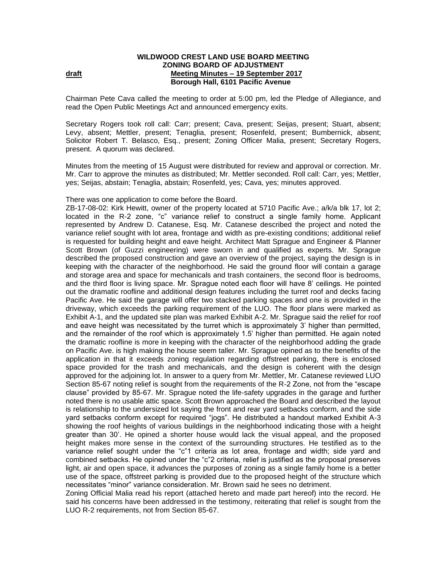## **WILDWOOD CREST LAND USE BOARD MEETING ZONING BOARD OF ADJUSTMENT draft draft draft Meeting Minutes – 19 September 2017 Borough Hall, 6101 Pacific Avenue**

Chairman Pete Cava called the meeting to order at 5:00 pm, led the Pledge of Allegiance, and read the Open Public Meetings Act and announced emergency exits.

Secretary Rogers took roll call: Carr; present; Cava, present; Seijas, present; Stuart, absent; Levy, absent; Mettler, present; Tenaglia, present; Rosenfeld, present; Bumbernick, absent; Solicitor Robert T. Belasco, Esq., present; Zoning Officer Malia, present; Secretary Rogers, present.A quorum was declared.

Minutes from the meeting of 15 August were distributed for review and approval or correction. Mr. Mr. Carr to approve the minutes as distributed; Mr. Mettler seconded. Roll call: Carr, yes; Mettler, yes; Seijas, abstain; Tenaglia, abstain; Rosenfeld, yes; Cava, yes; minutes approved.

## There was one application to come before the Board.

ZB-17-08-02: Kirk Hewitt, owner of the property located at 5710 Pacific Ave.; a/k/a blk 17, lot 2; located in the R-2 zone, "c" variance relief to construct a single family home. Applicant represented by Andrew D. Catanese, Esq. Mr. Catanese described the project and noted the variance relief sought with lot area, frontage and width as pre-existing conditions; additional relief is requested for building height and eave height. Architect Matt Sprague and Engineer & Planner Scott Brown (of Guzzi engineering) were sworn in and qualified as experts. Mr. Sprague described the proposed construction and gave an overview of the project, saying the design is in keeping with the character of the neighborhood. He said the ground floor will contain a garage and storage area and space for mechanicals and trash containers, the second floor is bedrooms, and the third floor is living space. Mr. Sprague noted each floor will have 8' ceilings. He pointed out the dramatic roofline and additional design features including the turret roof and decks facing Pacific Ave. He said the garage will offer two stacked parking spaces and one is provided in the driveway, which exceeds the parking requirement of the LUO. The floor plans were marked as Exhibit A-1, and the updated site plan was marked Exhibit A-2. Mr. Sprague said the relief for roof and eave height was necessitated by the turret which is approximately 3' higher than permitted, and the remainder of the roof which is approximately 1.5' higher than permitted. He again noted the dramatic roofline is more in keeping with the character of the neighborhood adding the grade on Pacific Ave. is high making the house seem taller. Mr. Sprague opined as to the benefits of the application in that it exceeds zoning regulation regarding offstreet parking, there is enclosed space provided for the trash and mechanicals, and the design is coherent with the design approved for the adjoining lot. In answer to a query from Mr. Mettler, Mr. Catanese reviewed LUO Section 85-67 noting relief is sought from the requirements of the R-2 Zone, not from the "escape clause" provided by 85-67. Mr. Sprague noted the life-safety upgrades in the garage and further noted there is no usable attic space. Scott Brown approached the Board and described the layout is relationship to the undersized lot saying the front and rear yard setbacks conform, and the side yard setbacks conform except for required "jogs". He distributed a handout marked Exhibit A-3 showing the roof heights of various buildings in the neighborhood indicating those with a height greater than 30'. He opined a shorter house would lack the visual appeal, and the proposed height makes more sense in the context of the surrounding structures. He testified as to the variance relief sought under the "c"1 criteria as lot area, frontage and width; side yard and combined setbacks. He opined under the "c"2 criteria, relief is justified as the proposal preserves light, air and open space, it advances the purposes of zoning as a single family home is a better use of the space, offstreet parking is provided due to the proposed height of the structure which necessitates "minor" variance consideration. Mr. Brown said he sees no detriment.

Zoning Official Malia read his report (attached hereto and made part hereof) into the record. He said his concerns have been addressed in the testimony, reiterating that relief is sought from the LUO R-2 requirements, not from Section 85-67.